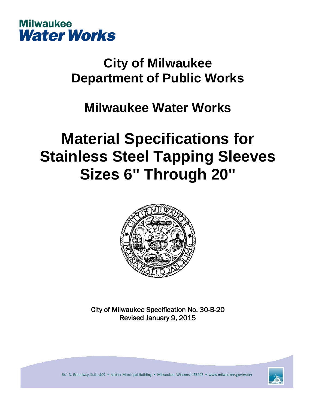

## **City of Milwaukee Department of Public Works**

### **Milwaukee Water Works**

# **Material Specifications for Stainless Steel Tapping Sleeves Sizes 6" Through 20"**



City of Milwaukee Specification No. 30-B-20 Revised January 9, 2015

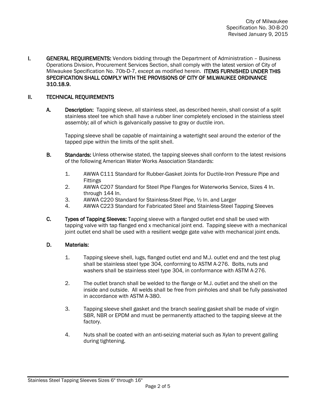**I.** GENERAL REQUIREMENTS: Vendors bidding through the Department of Administration – Business Operations Division, Procurement Services Section, shall comply with the latest version of City of Milwaukee Specification No. 70b-D-7, except as modified herein. ITEMS FURNISHED UNDER THIS SPECIFICATION SHALL COMPLY WITH THE PROVISIONS OF CITY OF MILWAUKEE ORDINANCE 310.18.9.

#### II. TECHNICAL REQUIREMENTS

A. Description: Tapping sleeve, all stainless steel, as described herein, shall consist of a split stainless steel tee which shall have a rubber liner completely enclosed in the stainless steel assembly; all of which is galvanically passive to gray or ductile iron.

Tapping sleeve shall be capable of maintaining a watertight seal around the exterior of the tapped pipe within the limits of the split shell.

- **B.** Standards: Unless otherwise stated, the tapping sleeves shall conform to the latest revisions of the following American Water Works Association Standards:
	- 1. AWWA C111 Standard for Rubber-Gasket Joints for Ductile-Iron Pressure Pipe and Fittings
	- 2. AWWA C207 Standard for Steel Pipe Flanges for Waterworks Service, Sizes 4 In. through 144 In.
	- 3. AWWA C220 Standard for Stainless-Steel Pipe, ½ In. and Larger
	- 4. AWWA C223 Standard for Fabricated Steel and Stainless-Steel Tapping Sleeves
- C. Types of Tapping Sleeves: Tapping sleeve with a flanged outlet end shall be used with tapping valve with tap flanged end x mechanical joint end. Tapping sleeve with a mechanical joint outlet end shall be used with a resilient wedge gate valve with mechanical joint ends.

#### D. Materials:

- 1. Tapping sleeve shell, lugs, flanged outlet end and M.J. outlet end and the test plug shall be stainless steel type 304, conforming to ASTM A-276. Bolts, nuts and washers shall be stainless steel type 304, in conformance with ASTM A-276.
- 2. The outlet branch shall be welded to the flange or M.J. outlet and the shell on the inside and outside. All welds shall be free from pinholes and shall be fully passivated in accordance with ASTM A-380.
- 3. Tapping sleeve shell gasket and the branch sealing gasket shall be made of virgin SBR, NBR or EPDM and must be permanently attached to the tapping sleeve at the factory.
- 4. Nuts shall be coated with an anti-seizing material such as Xylan to prevent galling during tightening.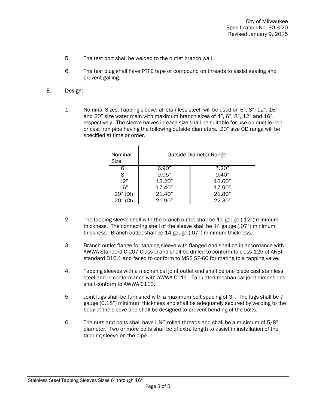- 5. The test port shall be welded to the outlet branch wall.
- 6. The test plug shall have PTFE tape or compound on threads to assist sealing and prevent galling.

#### E. Design:

1. Nominal Sizes: Tapping sleeve, all stainless steel, will be used on 6", 8", 12", 16" and 20" size water main with maximum branch sizes of 4", 6", 8", 12" and 16", respectively. The sleeve halves in each size shall be suitable for use on ductile iron or cast iron pipe having the following outside diameters. 20" size OD range will be specified at time or order.

| Nominal<br>Size | <b>Outside Diameter Range</b> |        |
|-----------------|-------------------------------|--------|
| 6"              | 6.90"                         | 7.20"  |
| 8"              | 9.05"                         | 9.40"  |
| 12"             | 13.20"                        | 13.60" |
| 16"             | 17.40"                        | 17.90" |
| 20" (DI)        | 21.40"                        | 21.80" |
| 20" (CI)        | 21.90"                        | 22.30" |

- 2. The tapping sleeve shell with the branch outlet shall be 11 gauge (.12") minimum thickness. The connecting shell of the sleeve shall be 14 gauge (.07") minimum thickness. Branch outlet shall be 14 gauge (.07") minimum thickness.
- 3. Branch outlet flange for tapping sleeve with flanged end shall be in accordance with AWWA Standard C-207 Class D and shall be drilled to conform to class 125 of ANSI standard B16.1 and faced to conform to MSS SP-60 for mating to a tapping valve.
- 4. Tapping sleeves with a mechanical joint outlet end shall be one piece cast stainless steel and in conformance with AWWA C111. Tabulated mechanical joint dimensions shall conform to AWWA C110.
- 5. Joint lugs shall be furnished with a maximum bolt spacing of 3". The lugs shall be 7 gauge (0.18") minimum thickness and shall be adequately secured by welding to the body of the sleeve and shall be designed to prevent bending of the bolts.
- 6. The nuts and bolts shall have UNC rolled threads and shall be a minimum of 5/8" diameter. Two or more bolts shall be of extra length to assist in installation of the tapping sleeve on the pipe.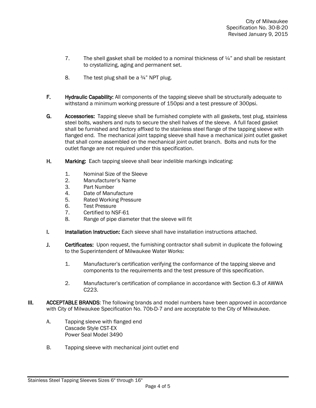- 7. The shell gasket shall be molded to a nominal thickness of  $\frac{1}{4}$  and shall be resistant to crystallizing, aging and permanent set.
- 8. The test plug shall be a  $\frac{3}{4}$ " NPT plug.
- F. Hydraulic Capability: All components of the tapping sleeve shall be structurally adequate to withstand a minimum working pressure of 150psi and a test pressure of 300psi.
- G. Accessories: Tapping sleeve shall be furnished complete with all gaskets, test plug, stainless steel bolts, washers and nuts to secure the shell halves of the sleeve. A full faced gasket shall be furnished and factory affixed to the stainless steel flange of the tapping sleeve with flanged end. The mechanical joint tapping sleeve shall have a mechanical joint outlet gasket that shall come assembled on the mechanical joint outlet branch. Bolts and nuts for the outlet flange are not required under this specification.
- H. Marking: Each tapping sleeve shall bear indelible markings indicating:
	- 1. Nominal Size of the Sleeve
	- 2. Manufacturer's Name
	- 3. Part Number
	- 4. Date of Manufacture<br>5. Rated Working Pressu
	- 5. Rated Working Pressure
	- 6. Test Pressure<br>7. Certified to NS
	- Certified to NSF-61
	- 8. Range of pipe diameter that the sleeve will fit
- **I.** Installation Instruction: Each sleeve shall have installation instructions attached.
- **J.** Certificates: Upon request, the furnishing contractor shall submit in duplicate the following to the Superintendent of Milwaukee Water Works:
	- 1. Manufacturer's certification verifying the conformance of the tapping sleeve and components to the requirements and the test pressure of this specification.
	- 2. Manufacturer's certification of compliance in accordance with Section 6.3 of AWWA C223.
- **III. ACCEPTABLE BRANDS:** The following brands and model numbers have been approved in accordance with City of Milwaukee Specification No. 70b-D-7 and are acceptable to the City of Milwaukee.
	- A. Tapping sleeve with flanged end Cascade Style CST-EX Power Seal Model 3490
	- B. Tapping sleeve with mechanical joint outlet end